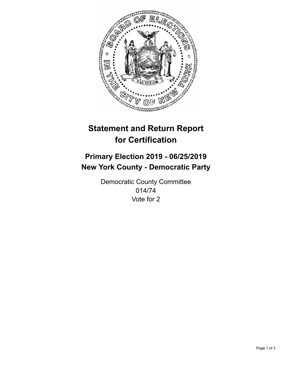

## **Statement and Return Report for Certification**

## **Primary Election 2019 - 06/25/2019 New York County - Democratic Party**

Democratic County Committee 014/74 Vote for 2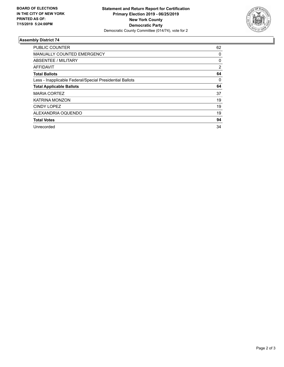

## **Assembly District 74**

| <b>PUBLIC COUNTER</b>                                    | 62       |
|----------------------------------------------------------|----------|
| <b>MANUALLY COUNTED EMERGENCY</b>                        | 0        |
| ABSENTEE / MILITARY                                      | 0        |
| AFFIDAVIT                                                | 2        |
| <b>Total Ballots</b>                                     | 64       |
| Less - Inapplicable Federal/Special Presidential Ballots | $\Omega$ |
| <b>Total Applicable Ballots</b>                          | 64       |
| <b>MARIA CORTEZ</b>                                      | 37       |
| <b>KATRINA MONZON</b>                                    | 19       |
| CINDY LOPEZ                                              | 19       |
| ALEXANDRIA OQUENDO                                       | 19       |
| <b>Total Votes</b>                                       | 94       |
| Unrecorded                                               | 34       |